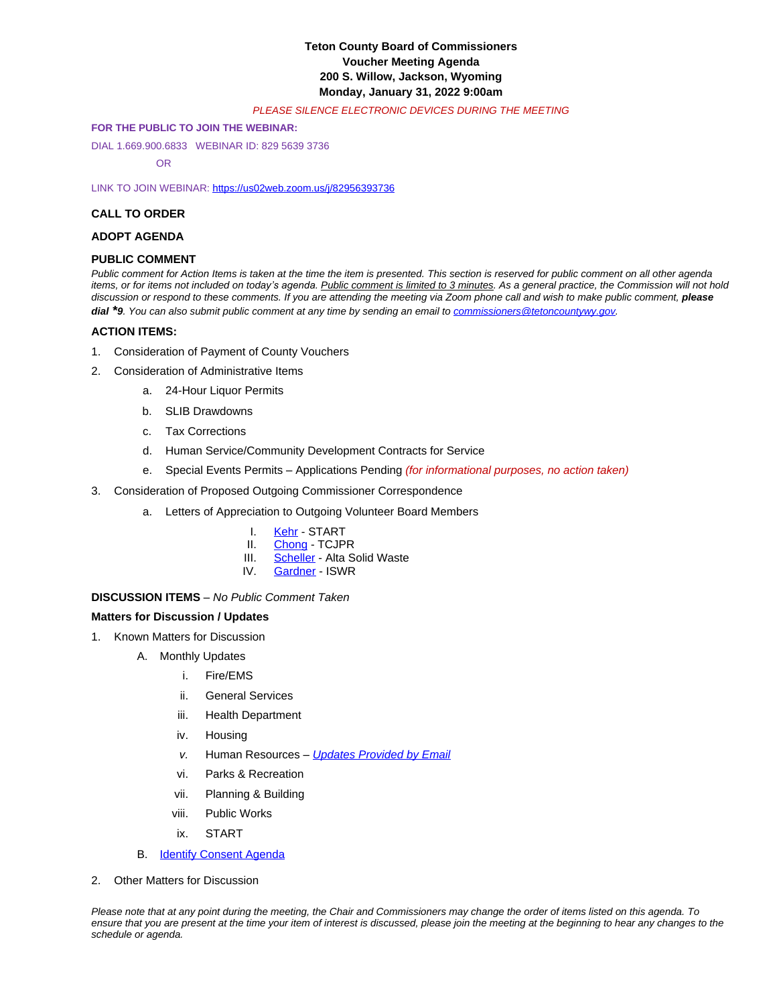# **Teton County Board of Commissioners Voucher Meeting Agenda 200 S. Willow, Jackson, Wyoming Monday, January 31, 2022 9:00am**

## *PLEASE SILENCE ELECTRONIC DEVICES DURING THE MEETING*

### **FOR THE PUBLIC TO JOIN THE WEBINAR:**

DIAL 1.669.900.6833 WEBINAR ID: 829 5639 3736

OR

LINK TO JOIN WEBINAR: <https://us02web.zoom.us/j/82956393736>

### **CALL TO ORDER**

## **ADOPT AGENDA**

## **PUBLIC COMMENT**

*Public comment for Action Items is taken at the time the item is presented. This section is reserved for public comment on all other agenda*  items, or for items not included on today's agenda. Public comment is limited to 3 minutes. As a general practice, the Commission will not hold discussion or respond to these comments. If you are attending the meeting via Zoom phone call and wish to make public comment, please *dial \*9. You can also submit public comment at any time by sending an email to [commissioners@tetoncountywy.gov.](mailto:commissioners@tetoncountywy.gov)*

### **[ACTION ITEMS:](mailto:commissioners@tetoncountywy.gov)**

- 1. [Consideration of](mailto:commissioners@tetoncountywy.gov) [Payment](mailto:commissioners@tetoncountywy.gov) [of County Vouchers](mailto:commissioners@tetoncountywy.gov)
- 2. [Consideration of Administrative Items](mailto:commissioners@tetoncountywy.gov)
	- a. [24-Hour Liquor Permits](mailto:commissioners@tetoncountywy.gov)
	- b. [SLIB](mailto:commissioners@tetoncountywy.gov) [Drawdowns](mailto:commissioners@tetoncountywy.gov)
	- c. [Tax Corrections](mailto:commissioners@tetoncountywy.gov)
	- d. [Human Service/Community Development Contracts for Service](mailto:commissioners@tetoncountywy.gov)
	- e. [Special Events Permits](mailto:commissioners@tetoncountywy.gov)  [Applications Pending](mailto:commissioners@tetoncountywy.gov) *[\(for informational purposes, no action taken\)](mailto:commissioners@tetoncountywy.gov)*
- 3. [Consideration of](mailto:commissioners@tetoncountywy.gov) [Proposed Outgoing Commissioner Correspondence](mailto:commissioners@tetoncountywy.gov)
	- a. [Letters of Appreciation to Outgoing](mailto:commissioners@tetoncountywy.gov) [Volunteer Board Members](mailto:commissioners@tetoncountywy.gov)
		- I. [Kehr](https://www.tetoncountywy.gov/DocumentCenter/View/21057/Cathy-Kehr-START) START<br>II. Chong TCJP
		- [Chong](https://www.tetoncountywy.gov/DocumentCenter/View/21096/Geneva-Chong-TCJPR-Board)  TCJPR
		- III. [Scheller](https://www.tetoncountywy.gov/DocumentCenter/View/21097/Michael-Scheller-Alta)  Alta Solid Waste<br>IV. Gardner ISWR
		- [Gardner](https://www.tetoncountywy.gov/DocumentCenter/View/21098/Wes-Gardner-ISWR) ISWR

## **DISCUSSION ITEMS** *– No Public Comment Taken*

#### **Matters for Discussion / Updates**

- 1. Known Matters for Discussion
	- A. Monthly Updates
		- i. Fire/EMS
		- ii. General Services
		- iii. Health Department
		- iv. Housing
		- *v.* Human Resources *[Updates Provided by Email](https://www.tetoncountywy.gov/DocumentCenter/View/21056/HR-update-Jan-22)*
		- vi. Parks & Recreation
		- vii. Planning & Building
		- viii. Public Works
		- ix. START
	- **B.** [Identify Consent Agenda](https://tetoncountywy.gov/DocumentCenter/View/21138/02-01-22-R-Ag)
- 2. Other Matters for Discussion

*Please note that at any point during the meeting, the Chair and Commissioners may change the order of items listed on this agenda. To ensure that you are present at the time your item of interest is discussed, please join the meeting at the beginning to hear any changes to the schedule or agenda.*